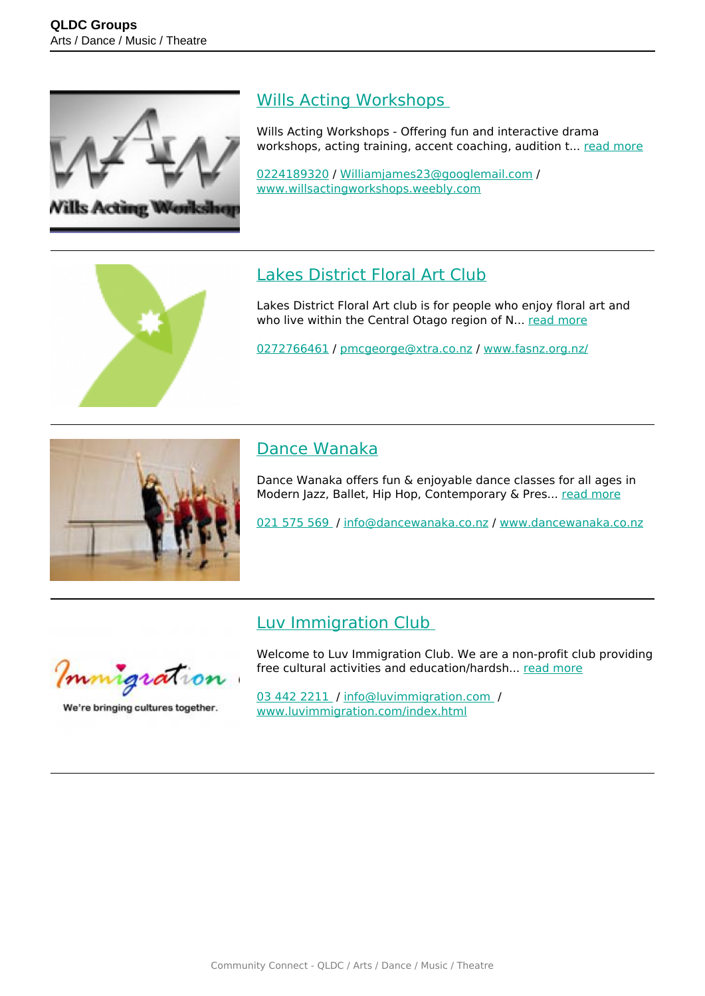

#### [Wills Acting Workshops](https://groups.qldc.govt.nz/groups/show/wills-acting-workshops/)

Wills Acting Workshops - Offering fun and interactive drama workshops, acting training, accent coaching, audition t... [read more](https://groups.qldc.govt.nz/groups/show/wills-acting-workshops/)

[0224189320](tel:0224189320) / [Williamjames23@googlemail.com](mailto:Williamjames23@googlemail.com) / [www.willsactingworkshops.weebly.com](http://www.willsactingworkshops.weebly.com)

# [Lakes District Floral Art Club](https://groups.qldc.govt.nz/groups/show/lakes-district-floral-art-club/)

Lakes District Floral Art club is for people who enjoy floral art and who live within the Central Otago region of N... [read more](https://groups.qldc.govt.nz/groups/show/lakes-district-floral-art-club/)

[0272766461](tel:0272766461) / [pmcgeorge@xtra.co.nz](mailto:pmcgeorge@xtra.co.nz) / [www.fasnz.org.nz/](http://www.fasnz.org.nz/)



## [Dance Wanaka](https://groups.qldc.govt.nz/groups/show/dance-wanaka/)

Dance Wanaka offers fun & enjoyable dance classes for all ages in Modern Jazz, Ballet, Hip Hop, Contemporary & Pres... [read more](https://groups.qldc.govt.nz/groups/show/dance-wanaka/)

[021 575 569](tel:021575569) / [info@dancewanaka.co.nz](mailto:info@dancewanaka.co.nz) / [www.dancewanaka.co.nz](http://www.dancewanaka.co.nz)

# [Luv Immigration Club](https://groups.qldc.govt.nz/groups/show/luv-immigration-club/)



We're bringing cultures together.

Welcome to Luv Immigration Club. We are a non-profit club providing free cultural activities and education/hardsh... [read more](https://groups.qldc.govt.nz/groups/show/luv-immigration-club/)

[03 442 2211](tel:034422211) / [info@luvimmigration.com](mailto:info@luvimmigration.com ) / [www.luvimmigration.com/index.html](https://www.luvimmigration.com/index.html)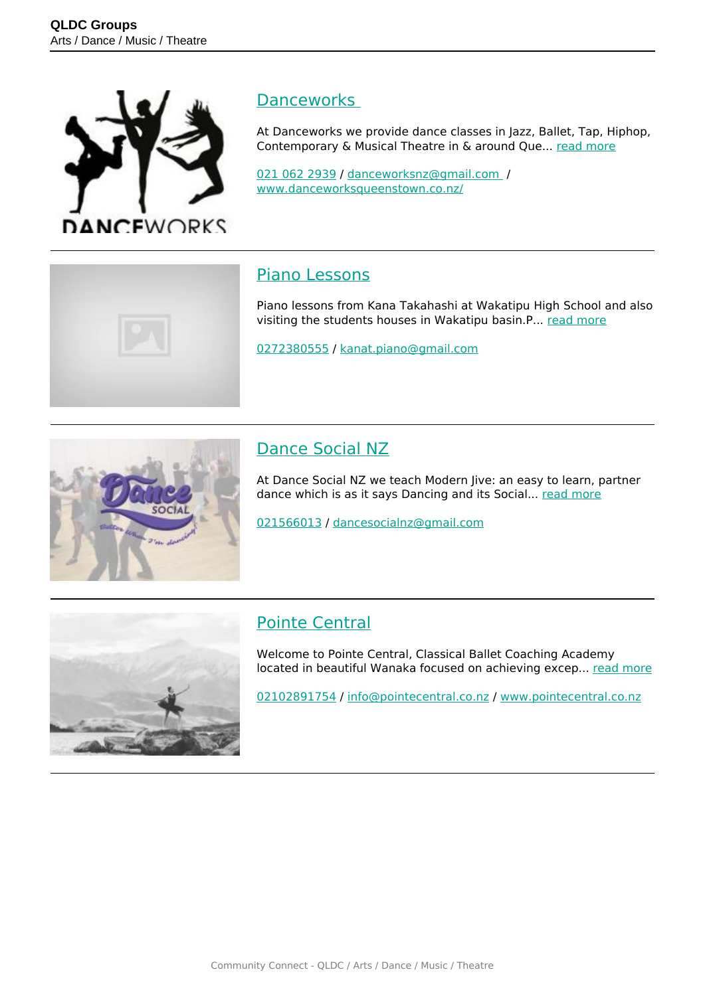

#### **Danceworks**

At Danceworks we provide dance classes in Jazz, Ballet, Tap, Hiphop, Contemporary & Musical Theatre in & around Que... [read more](https://groups.qldc.govt.nz/groups/show/danceworks/)

[021 062 2939](tel:0210622939) / [danceworksnz@gmail.com](mailto:danceworksnz@gmail.com ) / [www.danceworksqueenstown.co.nz/](http://www.danceworksqueenstown.co.nz/)

#### [Piano Lessons](https://groups.qldc.govt.nz/groups/show/piano-lessons/)

Piano lessons from Kana Takahashi at Wakatipu High School and also visiting the students houses in Wakatipu basin.P... [read more](https://groups.qldc.govt.nz/groups/show/piano-lessons/)

[0272380555](tel:0272380555) / [kanat.piano@gmail.com](mailto:kanat.piano@gmail.com)



## [Dance Social NZ](https://groups.qldc.govt.nz/groups/show/dance-social-nz/)

At Dance Social NZ we teach Modern Jive: an easy to learn, partner dance which is as it says Dancing and its Social... [read more](https://groups.qldc.govt.nz/groups/show/dance-social-nz/)

[021566013](tel:021566013) / [dancesocialnz@gmail.com](mailto:dancesocialnz@gmail.com)



#### [Pointe Central](https://groups.qldc.govt.nz/groups/show/pointe-central/)

Welcome to Pointe Central, Classical Ballet Coaching Academy located in beautiful Wanaka focused on achieving excep... [read more](https://groups.qldc.govt.nz/groups/show/pointe-central/)

[02102891754](tel:02102891754) / [info@pointecentral.co.nz](mailto:info@pointecentral.co.nz) / [www.pointecentral.co.nz](http://www.pointecentral.co.nz)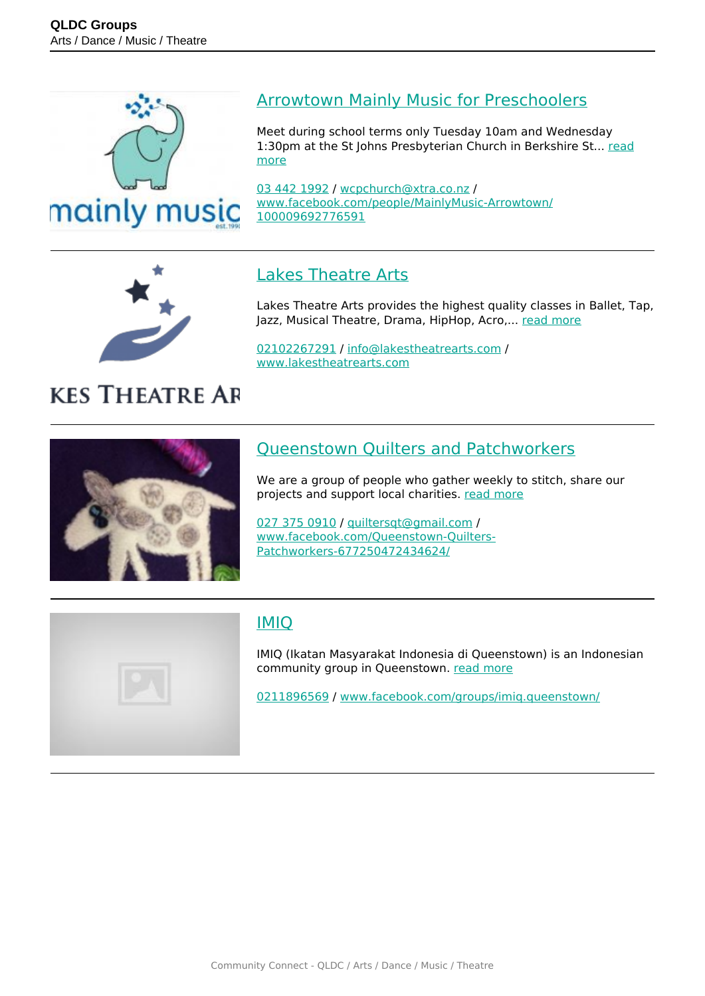



**KES THEATRE AR** 

#### [Arrowtown Mainly Music for Preschoolers](https://groups.qldc.govt.nz/groups/show/arrowtown-mainly-music-for-preschoolers/)

Meet during school terms only Tuesday 10am and Wednesday 1:30pm at the St Johns Presbyterian Church in Berkshire St... [read](https://groups.qldc.govt.nz/groups/show/arrowtown-mainly-music-for-preschoolers/) [more](https://groups.qldc.govt.nz/groups/show/arrowtown-mainly-music-for-preschoolers/)

[03 442 1992](tel:034421992) / [wcpchurch@xtra.co.nz](mailto:wcpchurch@xtra.co.nz) / [www.facebook.com/people/MainlyMusic-Arrowtown/](https://www.facebook.com/people/MainlyMusic-Arrowtown/100009692776591) [100009692776591](https://www.facebook.com/people/MainlyMusic-Arrowtown/100009692776591)

## [Lakes Theatre Arts](https://groups.qldc.govt.nz/groups/show/lakes-theatre-arts/)

Lakes Theatre Arts provides the highest quality classes in Ballet, Tap, Jazz, Musical Theatre, Drama, HipHop, Acro,... [read more](https://groups.qldc.govt.nz/groups/show/lakes-theatre-arts/)

[02102267291](tel:02102267291) / [info@lakestheatrearts.com](mailto:info@lakestheatrearts.com) / [www.lakestheatrearts.com](http://www.lakestheatrearts.com)

## [Queenstown Quilters and Patchworkers](https://groups.qldc.govt.nz/groups/show/queenstown-quilters-and-patchworkers/)

We are a group of people who gather weekly to stitch, share our projects and support local charities. [read more](https://groups.qldc.govt.nz/groups/show/queenstown-quilters-and-patchworkers/)

[027 375 0910](tel:0273750910) / [quiltersqt@gmail.com](mailto:quiltersqt@gmail.com) / [www.facebook.com/Queenstown-Quilters-](https://www.facebook.com/Queenstown-Quilters-Patchworkers-677250472434624/)[Patchworkers-677250472434624/](https://www.facebook.com/Queenstown-Quilters-Patchworkers-677250472434624/)



#### [IMIQ](https://groups.qldc.govt.nz/groups/show/imiq/)

IMIQ (Ikatan Masyarakat Indonesia di Queenstown) is an Indonesian community group in Queenstown. [read more](https://groups.qldc.govt.nz/groups/show/imiq/)

[0211896569](tel:0211896569) / [www.facebook.com/groups/imiq.queenstown/](https://www.facebook.com/groups/imiq.queenstown/)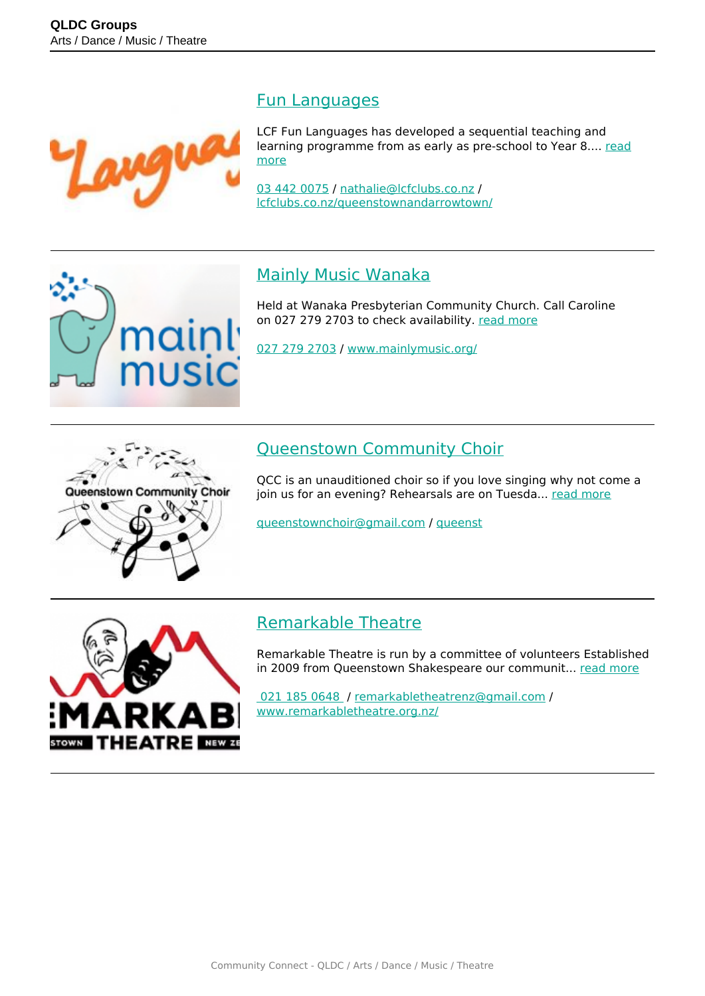

mainl

music

#### [Fun Languages](https://groups.qldc.govt.nz/groups/show/fun-languages/)

LCF Fun Languages has developed a sequential teaching and learning programme from as early as pre-school to Year 8.... [read](https://groups.qldc.govt.nz/groups/show/fun-languages/) [more](https://groups.qldc.govt.nz/groups/show/fun-languages/)

[03 442 0075](tel:034420075) / [nathalie@lcfclubs.co.nz](mailto:nathalie@lcfclubs.co.nz) / [lcfclubs.co.nz/queenstownandarrowtown/](https://lcfclubs.co.nz/queenstownandarrowtown/)

#### [Mainly Music Wanaka](https://groups.qldc.govt.nz/groups/show/mainly-music-wanaka/)

Held at Wanaka Presbyterian Community Church. Call Caroline on 027 279 2703 to check availability. [read more](https://groups.qldc.govt.nz/groups/show/mainly-music-wanaka/)

[027 279 2703](tel:0272792703) / [www.mainlymusic.org/](http://www.mainlymusic.org/)



# [Queenstown Community Choir](https://groups.qldc.govt.nz/groups/show/queenstown-community-choir/)

QCC is an unauditioned choir so if you love singing why not come a join us for an evening? Rehearsals are on Tuesda... [read more](https://groups.qldc.govt.nz/groups/show/queenstown-community-choir/)

[queenstownchoir@gmail.com](mailto:queenstownchoir@gmail.com) / [queenst](http://queenst)



#### [Remarkable Theatre](https://groups.qldc.govt.nz/groups/show/remarkable-theatre/)

Remarkable Theatre is run by a committee of volunteers Established in 2009 from Queenstown Shakespeare our communit... [read more](https://groups.qldc.govt.nz/groups/show/remarkable-theatre/)

 [021 185 0648](tel:0211850648) / [remarkabletheatrenz@gmail.com](mailto:remarkabletheatrenz@gmail.com) / [www.remarkabletheatre.org.nz/](http://www.remarkabletheatre.org.nz/)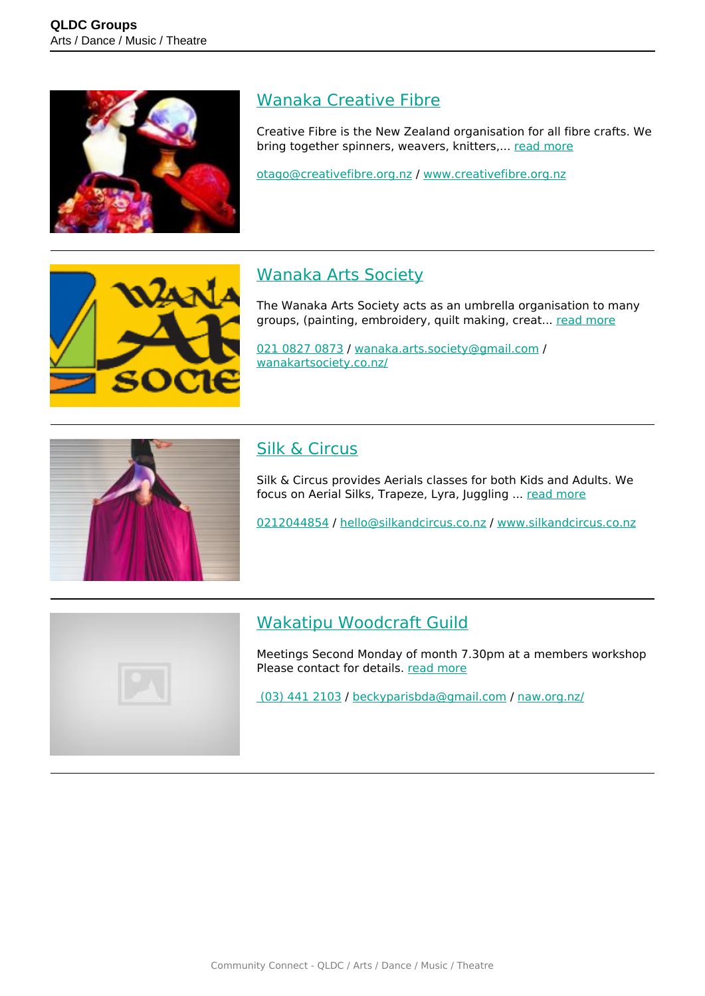

## [Wanaka Creative Fibre](https://groups.qldc.govt.nz/groups/show/wanaka-creative-fibre/)

Creative Fibre is the New Zealand organisation for all fibre crafts. We bring together spinners, weavers, knitters,... [read more](https://groups.qldc.govt.nz/groups/show/wanaka-creative-fibre/)

[otago@creativefibre.org.nz](mailto:otago@creativefibre.org.nz) / [www.creativefibre.org.nz](http://www.creativefibre.org.nz)



# [Wanaka Arts Society](https://groups.qldc.govt.nz/groups/show/wanaka-arts-society/)

The Wanaka Arts Society acts as an umbrella organisation to many groups, (painting, embroidery, quilt making, creat... [read more](https://groups.qldc.govt.nz/groups/show/wanaka-arts-society/)

[021 0827 0873](tel:02108270873) / [wanaka.arts.society@gmail.com](mailto:wanaka.arts.society@gmail.com) / [wanakartsociety.co.nz/](https://wanakartsociety.co.nz/)



# [Silk & Circus](https://groups.qldc.govt.nz/groups/show/silk-and-circus/)

Silk & Circus provides Aerials classes for both Kids and Adults. We focus on Aerial Silks, Trapeze, Lyra, Juggling ... [read more](https://groups.qldc.govt.nz/groups/show/silk-and-circus/)

[0212044854](tel:0212044854) / [hello@silkandcircus.co.nz](mailto:hello@silkandcircus.co.nz) / [www.silkandcircus.co.nz](http://www.silkandcircus.co.nz)



# [Wakatipu Woodcraft Guild](https://groups.qldc.govt.nz/groups/show/wakatipu-woodcraft-guild/)

Meetings Second Monday of month 7.30pm at a members workshop Please contact for details. [read more](https://groups.qldc.govt.nz/groups/show/wakatipu-woodcraft-guild/)

 [\(03\) 441 2103](tel:034412103) / [beckyparisbda@gmail.com](mailto:beckyparisbda@gmail.com) / [naw.org.nz/](http://naw.org.nz/)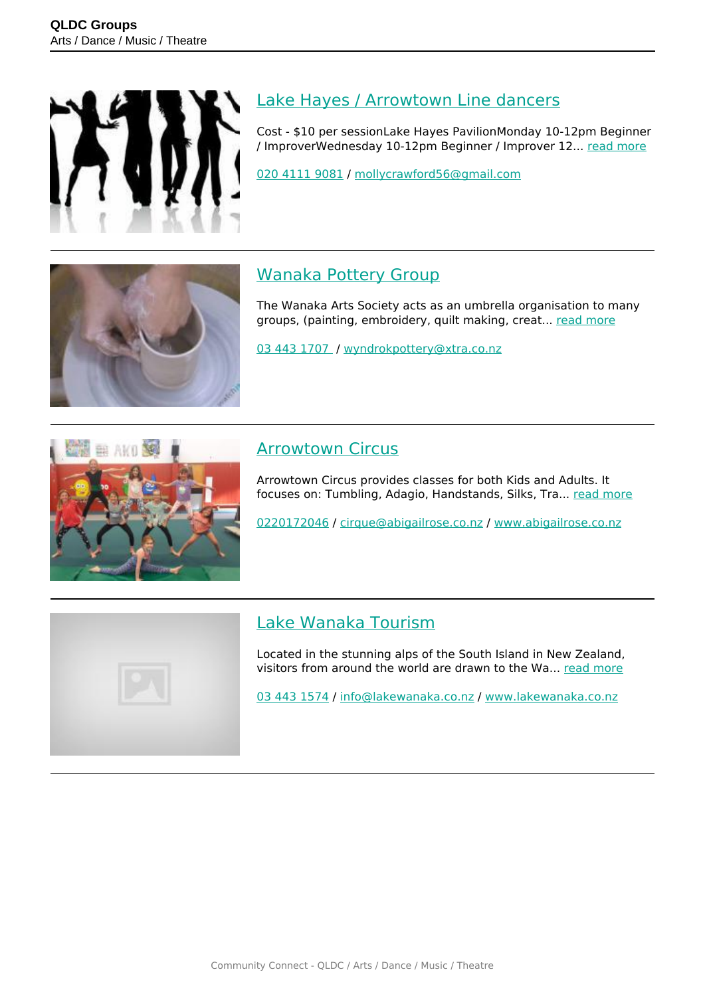

## [Lake Hayes / Arrowtown Line dancers](https://groups.qldc.govt.nz/groups/show/lake-hayes-arrowtown-line-dancers/)

Cost - \$10 per sessionLake Hayes PavilionMonday 10-12pm Beginner / ImproverWednesday 10-12pm Beginner / Improver 12... [read more](https://groups.qldc.govt.nz/groups/show/lake-hayes-arrowtown-line-dancers/)

[020 4111 9081](tel:02041119081) / [mollycrawford56@gmail.com](mailto:mollycrawford56@gmail.com)



# [Wanaka Pottery Group](https://groups.qldc.govt.nz/groups/show/wanaka-pottery-group/)

The Wanaka Arts Society acts as an umbrella organisation to many groups, (painting, embroidery, quilt making, creat... [read more](https://groups.qldc.govt.nz/groups/show/wanaka-pottery-group/)

[03 443 1707](tel:034431707) / [wyndrokpottery@xtra.co.nz](mailto:wyndrokpottery@xtra.co.nz)



## [Arrowtown Circus](https://groups.qldc.govt.nz/groups/show/arrowtown-circus/)

Arrowtown Circus provides classes for both Kids and Adults. It focuses on: Tumbling, Adagio, Handstands, Silks, Tra... [read more](https://groups.qldc.govt.nz/groups/show/arrowtown-circus/)

[0220172046](tel:0220172046) / [cirque@abigailrose.co.nz](mailto:cirque@abigailrose.co.nz) / [www.abigailrose.co.nz](http://www.abigailrose.co.nz)



#### [Lake Wanaka Tourism](https://groups.qldc.govt.nz/groups/show/lake-wanaka-tourism/)

Located in the stunning alps of the South Island in New Zealand, visitors from around the world are drawn to the Wa... [read more](https://groups.qldc.govt.nz/groups/show/lake-wanaka-tourism/)

[03 443 1574](tel:034431574) / [info@lakewanaka.co.nz](mailto:info@lakewanaka.co.nz) / [www.lakewanaka.co.nz](http://www.lakewanaka.co.nz)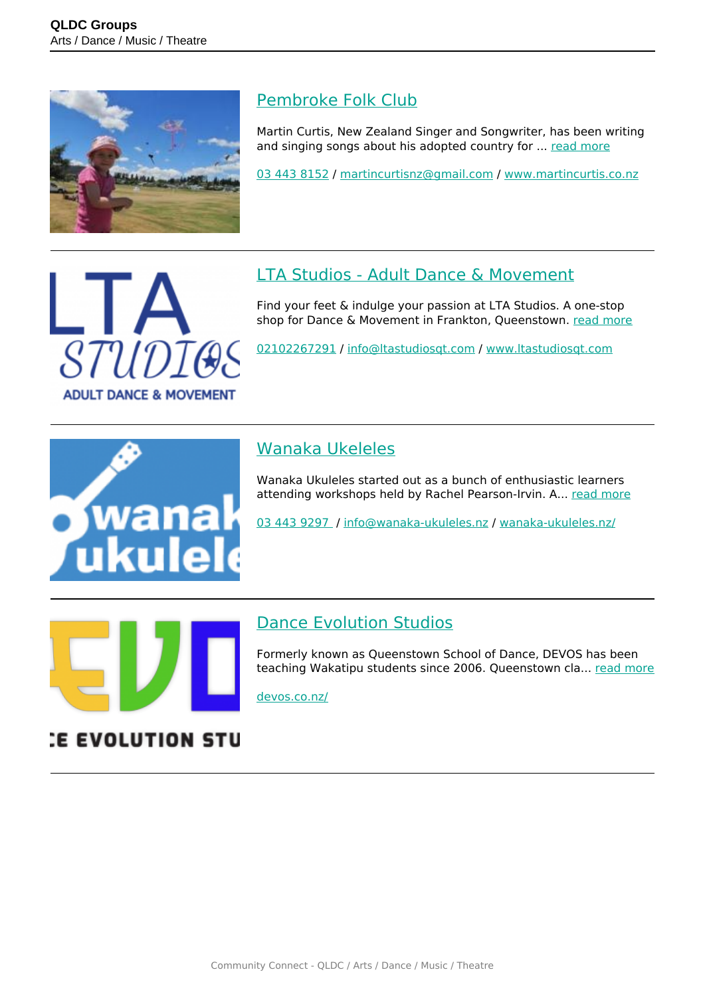

#### [Pembroke Folk Club](https://groups.qldc.govt.nz/groups/show/pembroke-folk-club/)

Martin Curtis, New Zealand Singer and Songwriter, has been writing and singing songs about his adopted country for ... [read more](https://groups.qldc.govt.nz/groups/show/pembroke-folk-club/)

[03 443 8152](tel:034438152) / [martincurtisnz@gmail.com](mailto:martincurtisnz@gmail.com) / [www.martincurtis.co.nz](http://www.martincurtis.co.nz)



# [LTA Studios - Adult Dance & Movement](https://groups.qldc.govt.nz/groups/show/lta-studios-adult-dance-and-movement/)

Find your feet & indulge your passion at LTA Studios. A one-stop shop for Dance & Movement in Frankton, Queenstown. [read more](https://groups.qldc.govt.nz/groups/show/lta-studios-adult-dance-and-movement/)

[02102267291](tel:02102267291) / [info@ltastudiosqt.com](mailto:info@ltastudiosqt.com) / [www.ltastudiosqt.com](http://www.ltastudiosqt.com)



# [Wanaka Ukeleles](https://groups.qldc.govt.nz/groups/show/wanaka-ukeleles/)

Wanaka Ukuleles started out as a bunch of enthusiastic learners attending workshops held by Rachel Pearson-Irvin. A... [read more](https://groups.qldc.govt.nz/groups/show/wanaka-ukeleles/)

[03 443 9297](tel:034439297) / [info@wanaka-ukuleles.nz](mailto:info@wanaka-ukuleles.nz) / [wanaka-ukuleles.nz/](http://wanaka-ukuleles.nz/)



#### [Dance Evolution Studios](https://groups.qldc.govt.nz/groups/show/dance-evolution-studios/)

Formerly known as Queenstown School of Dance, DEVOS has been teaching Wakatipu students since 2006. Queenstown cla... [read more](https://groups.qldc.govt.nz/groups/show/dance-evolution-studios/)

[devos.co.nz/](https://devos.co.nz/)

# **E EVOLUTION STU**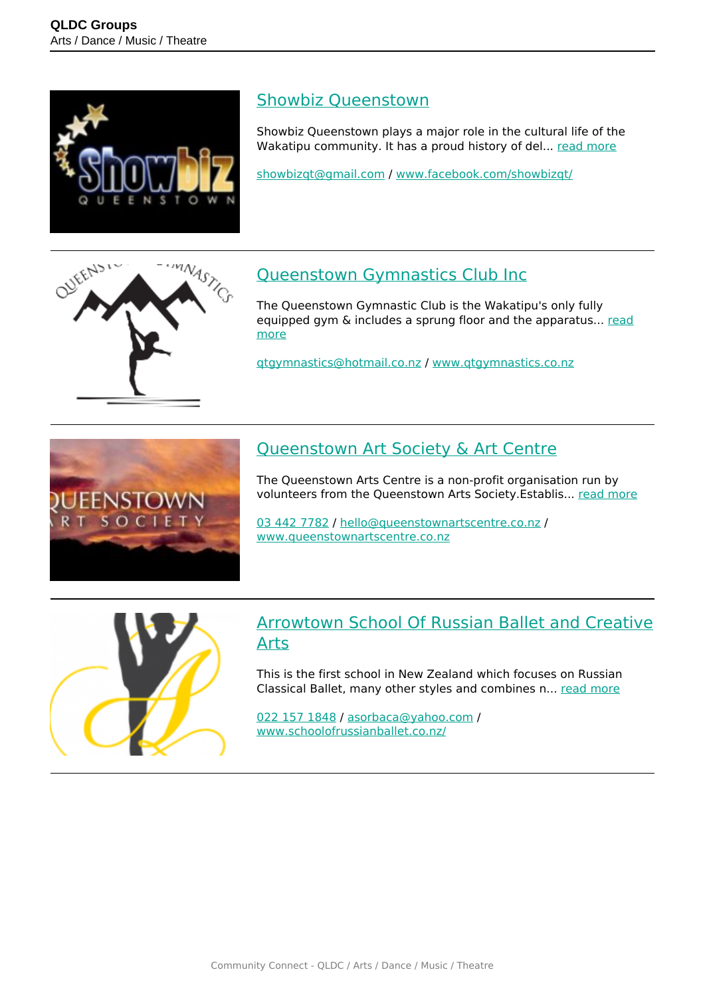

#### [Showbiz Queenstown](https://groups.qldc.govt.nz/groups/show/showbiz-queenstown/)

Showbiz Queenstown plays a major role in the cultural life of the Wakatipu community. It has a proud history of del... [read more](https://groups.qldc.govt.nz/groups/show/showbiz-queenstown/)

[showbizqt@gmail.com](mailto:showbizqt@gmail.com) / [www.facebook.com/showbizqt/](http://www.facebook.com/showbizqt/)



# [Queenstown Gymnastics Club Inc](https://groups.qldc.govt.nz/groups/show/queenstown-gymnastics-club-inc/)

The Queenstown Gymnastic Club is the Wakatipu's only fully equipped gym & includes a sprung floor and the apparatus... [read](https://groups.qldc.govt.nz/groups/show/queenstown-gymnastics-club-inc/) [more](https://groups.qldc.govt.nz/groups/show/queenstown-gymnastics-club-inc/)

[qtgymnastics@hotmail.co.nz](mailto:qtgymnastics@hotmail.co.nz) / [www.qtgymnastics.co.nz](http://www.qtgymnastics.co.nz)



# [Queenstown Art Society & Art Centre](https://groups.qldc.govt.nz/groups/show/queenstown-art-society-and-art-centre/)

The Queenstown Arts Centre is a non-profit organisation run by volunteers from the Queenstown Arts Society.Establis... [read more](https://groups.qldc.govt.nz/groups/show/queenstown-art-society-and-art-centre/)

[03 442 7782](tel:034427782) / [hello@queenstownartscentre.co.nz](mailto:hello@queenstownartscentre.co.nz) / [www.queenstownartscentre.co.nz](http://www.queenstownartscentre.co.nz)



#### [Arrowtown School Of Russian Ballet and Creative](https://groups.qldc.govt.nz/groups/show/arrowtown-school-of-russian-ballet-and-creative-arts/) [Arts](https://groups.qldc.govt.nz/groups/show/arrowtown-school-of-russian-ballet-and-creative-arts/)

This is the first school in New Zealand which focuses on Russian Classical Ballet, many other styles and combines n... [read more](https://groups.qldc.govt.nz/groups/show/arrowtown-school-of-russian-ballet-and-creative-arts/)

[022 157 1848](tel:0221571848) / [asorbaca@yahoo.com](mailto:asorbaca@yahoo.com) / [www.schoolofrussianballet.co.nz/](https://www.schoolofrussianballet.co.nz/)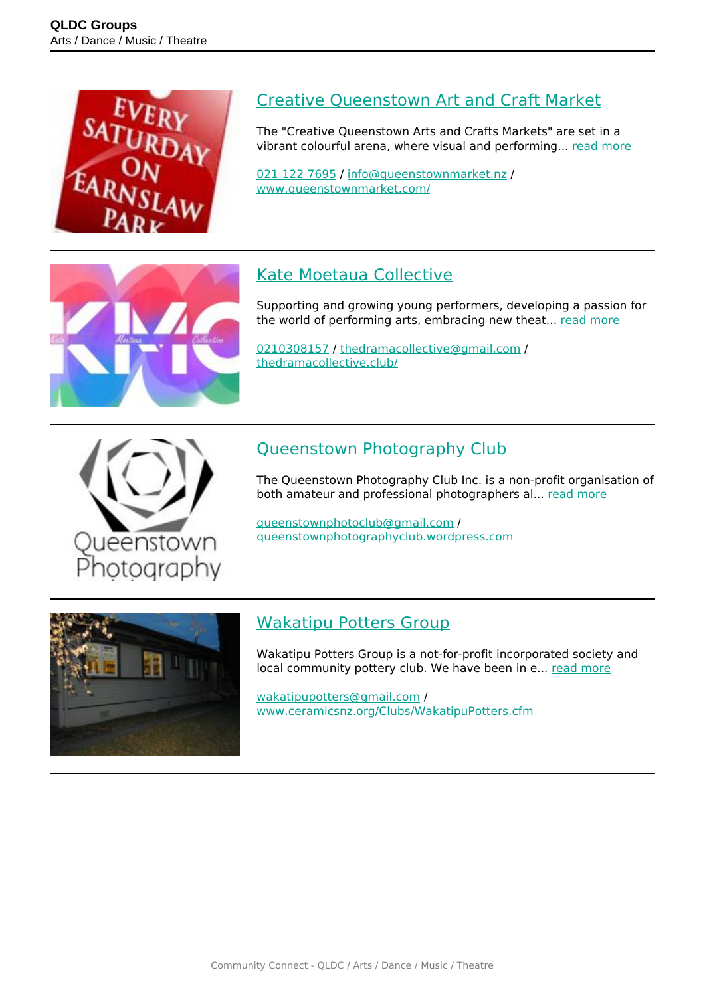

## [Creative Queenstown Art and Craft Market](https://groups.qldc.govt.nz/groups/show/creative-queenstown-art-and-craft-market/)

The "Creative Queenstown Arts and Crafts Markets" are set in a vibrant colourful arena, where visual and performing... [read more](https://groups.qldc.govt.nz/groups/show/creative-queenstown-art-and-craft-market/)

[021 122 7695](tel:0211227695) / [info@queenstownmarket.nz](mailto:info@queenstownmarket.nz) / [www.queenstownmarket.com/](http://www.queenstownmarket.com/)



# [Kate Moetaua Collective](https://groups.qldc.govt.nz/groups/show/kate-moetaua-collective/)

Supporting and growing young performers, developing a passion for the world of performing arts, embracing new theat... [read more](https://groups.qldc.govt.nz/groups/show/kate-moetaua-collective/)

[0210308157](tel:0210308157) / [thedramacollective@gmail.com](mailto:thedramacollective@gmail.com) / [thedramacollective.club/](https://thedramacollective.club/)



## [Queenstown Photography Club](https://groups.qldc.govt.nz/groups/show/queenstown-photography-club/)

The Queenstown Photography Club Inc. is a non-profit organisation of both amateur and professional photographers al... [read more](https://groups.qldc.govt.nz/groups/show/queenstown-photography-club/)

[queenstownphotoclub@gmail.com](mailto:queenstownphotoclub@gmail.com) / [queenstownphotographyclub.wordpress.com](http://queenstownphotographyclub.wordpress.com)



# [Wakatipu Potters Group](https://groups.qldc.govt.nz/groups/show/wakatipu-potters-group/)

Wakatipu Potters Group is a not-for-profit incorporated society and local community pottery club. We have been in e... [read more](https://groups.qldc.govt.nz/groups/show/wakatipu-potters-group/)

[wakatipupotters@gmail.com](mailto:wakatipupotters@gmail.com) / [www.ceramicsnz.org/Clubs/WakatipuPotters.cfm](http://www.ceramicsnz.org/Clubs/WakatipuPotters.cfm)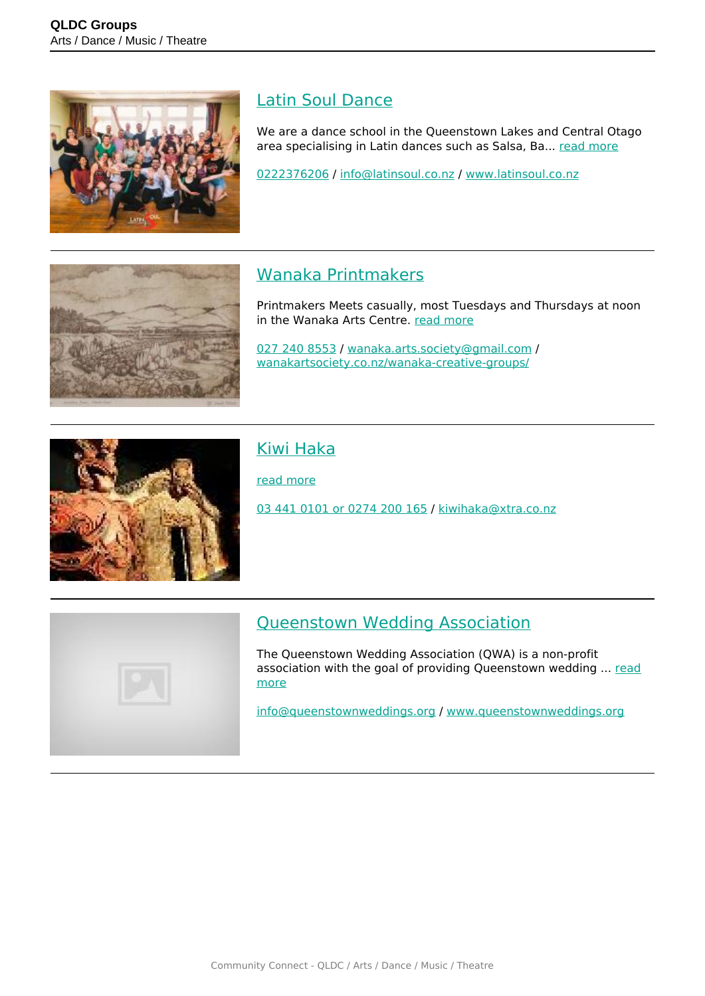

# [Latin Soul Dance](https://groups.qldc.govt.nz/groups/show/latin-soul-dance/)

We are a dance school in the Queenstown Lakes and Central Otago area specialising in Latin dances such as Salsa, Ba... [read more](https://groups.qldc.govt.nz/groups/show/latin-soul-dance/)

[0222376206](tel:0222376206) / [info@latinsoul.co.nz](mailto:info@latinsoul.co.nz) / [www.latinsoul.co.nz](http://www.latinsoul.co.nz)

# [Wanaka Printmakers](https://groups.qldc.govt.nz/groups/show/wanaka-printmakers/)

Printmakers Meets casually, most Tuesdays and Thursdays at noon in the Wanaka Arts Centre. [read more](https://groups.qldc.govt.nz/groups/show/wanaka-printmakers/)

[027 240 8553](tel:0272408553) / [wanaka.arts.society@gmail.com](mailto:wanaka.arts.society@gmail.com) / [wanakartsociety.co.nz/wanaka-creative-groups/](https://wanakartsociety.co.nz/wanaka-creative-groups/)



# [Kiwi Haka](https://groups.qldc.govt.nz/groups/show/kiwi-haka/)

[read more](https://groups.qldc.govt.nz/groups/show/kiwi-haka/)

[03 441 0101 or 0274 200 165](tel:034410101) / [kiwihaka@xtra.co.nz](mailto:kiwihaka@xtra.co.nz)



# [Queenstown Wedding Association](https://groups.qldc.govt.nz/groups/show/queenstown-wedding-association/)

The Queenstown Wedding Association (QWA) is a non-profit association with the goal of providing Queenstown wedding ... [read](https://groups.qldc.govt.nz/groups/show/queenstown-wedding-association/) [more](https://groups.qldc.govt.nz/groups/show/queenstown-wedding-association/)

[info@queenstownweddings.org](mailto:info@queenstownweddings.org) / [www.queenstownweddings.org](http://www.queenstownweddings.org)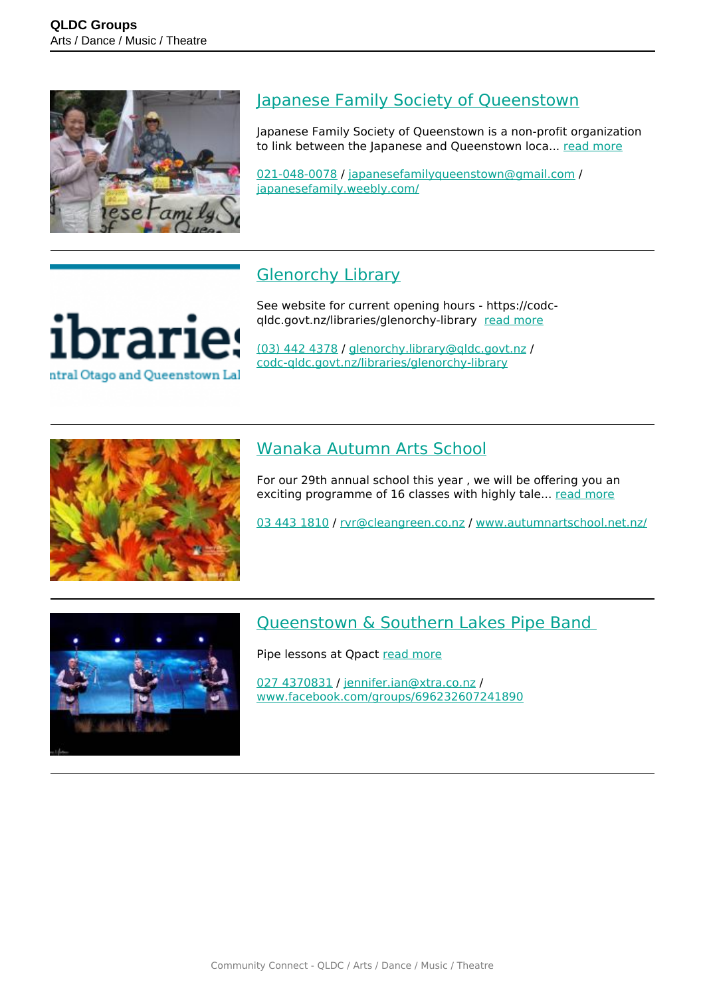

#### [Japanese Family Society of Queenstown](https://groups.qldc.govt.nz/groups/show/japanese-family-society-of-queenstown/)

Japanese Family Society of Queenstown is a non-profit organization to link between the Japanese and Queenstown loca... [read more](https://groups.qldc.govt.nz/groups/show/japanese-family-society-of-queenstown/)

[021-048-0078](tel:0210480078) / [japanesefamilyqueenstown@gmail.com](mailto:japanesefamilyqueenstown@gmail.com) / [japanesefamily.weebly.com/](http://japanesefamily.weebly.com/)

# **[Glenorchy Library](https://groups.qldc.govt.nz/groups/show/glenorchy-library/)**

See website for current opening hours - https://codcqldc.govt.nz/libraries/glenorchy-library [read more](https://groups.qldc.govt.nz/groups/show/glenorchy-library/)

[\(03\) 442 4378](tel:034424378) / [glenorchy.library@qldc.govt.nz](mailto:glenorchy.library@qldc.govt.nz) / [codc-qldc.govt.nz/libraries/glenorchy-library](https://codc-qldc.govt.nz/libraries/glenorchy-library)



brari

ntral Otago and Queenstown Lal

# [Wanaka Autumn Arts School](https://groups.qldc.govt.nz/groups/show/wanaka-autumn-arts-school/)

For our 29th annual school this year , we will be offering you an exciting programme of 16 classes with highly tale... [read more](https://groups.qldc.govt.nz/groups/show/wanaka-autumn-arts-school/)

[03 443 1810](tel:034431810) / [rvr@cleangreen.co.nz](mailto:rvr@cleangreen.co.nz) / [www.autumnartschool.net.nz/](http://www.autumnartschool.net.nz/)



#### [Queenstown & Southern Lakes Pipe Band](https://groups.qldc.govt.nz/groups/show/queenstown-and-southern-lakes-pipe-band/)

Pipe lessons at Qpact [read more](https://groups.qldc.govt.nz/groups/show/queenstown-and-southern-lakes-pipe-band/)

[027 4370831](tel:0274370831) / [jennifer.ian@xtra.co.nz](mailto:jennifer.ian@xtra.co.nz) / [www.facebook.com/groups/696232607241890](https://www.facebook.com/groups/696232607241890)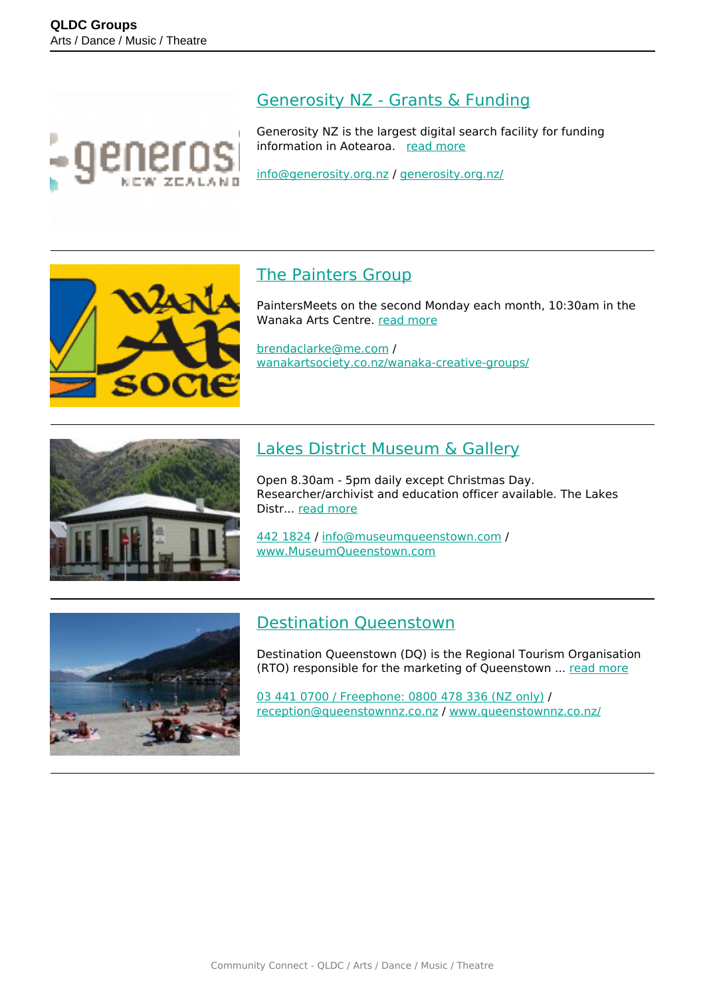

#### [Generosity NZ - Grants & Funding](https://groups.qldc.govt.nz/groups/show/generosity-nz-grants-and-funding/)

Generosity NZ is the largest digital search facility for funding information in Aotearoa. [read more](https://groups.qldc.govt.nz/groups/show/generosity-nz-grants-and-funding/)

[info@generosity.org.nz](mailto:info@generosity.org.nz) / [generosity.org.nz/](https://generosity.org.nz/)



## [The Painters Group](https://groups.qldc.govt.nz/groups/show/the-painters-group/)

PaintersMeets on the second Monday each month, 10:30am in the Wanaka Arts Centre. [read more](https://groups.qldc.govt.nz/groups/show/the-painters-group/)

[brendaclarke@me.com](mailto:brendaclarke@me.com) / [wanakartsociety.co.nz/wanaka-creative-groups/](https://wanakartsociety.co.nz/wanaka-creative-groups/)



## [Lakes District Museum & Gallery](https://groups.qldc.govt.nz/groups/show/lakes-district-museum-and-gallery/)

Open 8.30am - 5pm daily except Christmas Day. Researcher/archivist and education officer available. The Lakes Distr... [read more](https://groups.qldc.govt.nz/groups/show/lakes-district-museum-and-gallery/)

[442 1824](tel:4421824) / [info@museumqueenstown.com](mailto:info@museumqueenstown.com) / [www.MuseumQueenstown.com](http://www.MuseumQueenstown.com)



#### [Destination Queenstown](https://groups.qldc.govt.nz/groups/show/destination-queenstown/)

Destination Queenstown (DQ) is the Regional Tourism Organisation (RTO) responsible for the marketing of Queenstown ... [read more](https://groups.qldc.govt.nz/groups/show/destination-queenstown/)

[03 441 0700 / Freephone: 0800 478 336 \(NZ only\)](tel:0344107000800478336) / [reception@queenstownnz.co.nz](mailto:reception@queenstownnz.co.nz) / [www.queenstownnz.co.nz/](https://www.queenstownnz.co.nz/)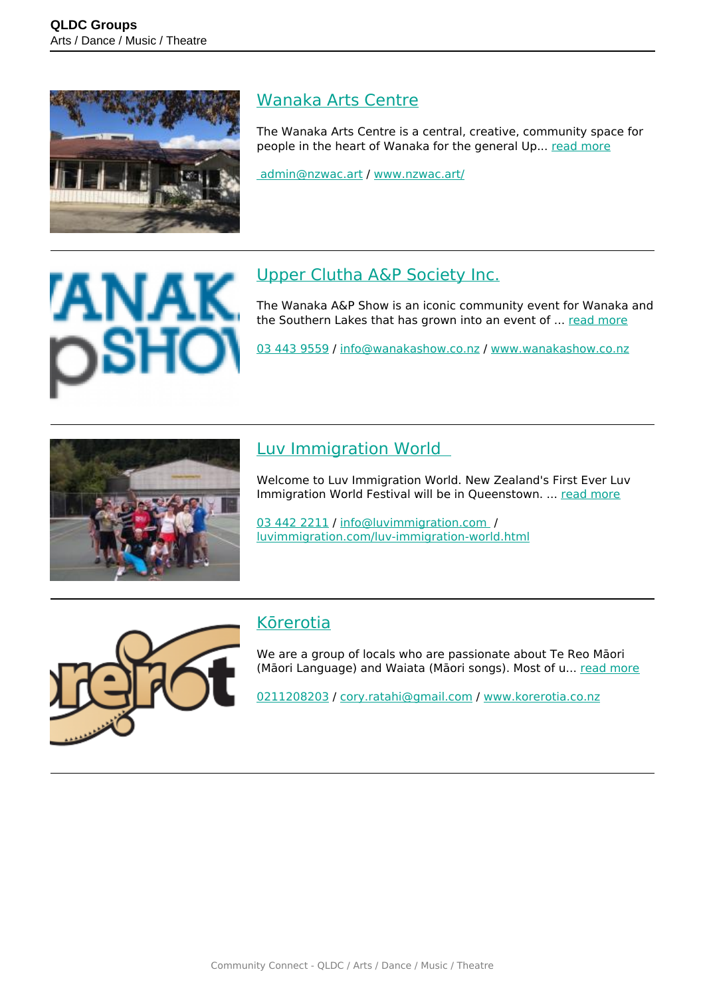

#### [Wanaka Arts Centre](https://groups.qldc.govt.nz/groups/show/wanaka-arts-centre/)

The Wanaka Arts Centre is a central, creative, community space for people in the heart of Wanaka for the general Up... [read more](https://groups.qldc.govt.nz/groups/show/wanaka-arts-centre/)

 [admin@nzwac.art](mailto: admin@nzwac.art) / [www.nzwac.art/](https://www.nzwac.art/)

# [Upper Clutha A&P Society Inc.](https://groups.qldc.govt.nz/groups/show/upper-clutha-a-and-p-society-inc/)

The Wanaka A&P Show is an iconic community event for Wanaka and the Southern Lakes that has grown into an event of ... [read more](https://groups.qldc.govt.nz/groups/show/upper-clutha-a-and-p-society-inc/)

[03 443 9559](tel:034439559) / [info@wanakashow.co.nz](mailto:info@wanakashow.co.nz) / [www.wanakashow.co.nz](http://www.wanakashow.co.nz)



# [Luv Immigration World](https://groups.qldc.govt.nz/groups/show/luv-immigration-world/)

Welcome to Luv Immigration World. New Zealand's First Ever Luv Immigration World Festival will be in Queenstown. ... [read more](https://groups.qldc.govt.nz/groups/show/luv-immigration-world/)

[03 442 2211](tel:034422211) / [info@luvimmigration.com](mailto:info@luvimmigration.com ) / [luvimmigration.com/luv-immigration-world.html](http://luvimmigration.com/luv-immigration-world.html)



# [Kōrerotia](https://groups.qldc.govt.nz/groups/show/korerotia/)

We are a group of locals who are passionate about Te Reo Māori (Māori Language) and Waiata (Māori songs). Most of u... [read more](https://groups.qldc.govt.nz/groups/show/korerotia/)

[0211208203](tel:0211208203) / [cory.ratahi@gmail.com](mailto:cory.ratahi@gmail.com) / [www.korerotia.co.nz](http://www.korerotia.co.nz)